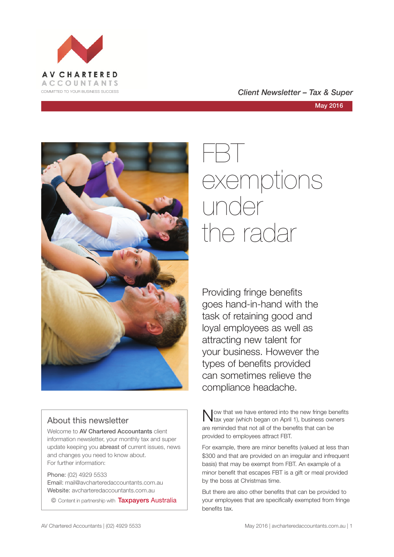

### COMMITTED TO YOUR BUSINESS SUCCESS **COMMITTED TO YOUR BUSINESS SUCCESS**



### About this newsletter

Welcome to AV Chartered Accountants client information newsletter, your monthly tax and super update keeping you abreast of current issues, news and changes you need to know about. For further information:

Phone: (02) 4929 5533 Email: mail@avcharteredaccountants.com.au Website: avcharteredaccountants.com.au

© Content in partnership with Taxpayers Australia

# FBT exemptions under the radar

Providing fringe benefits goes hand-in-hand with the task of retaining good and loyal employees as well as attracting new talent for your business. However the types of benefits provided can sometimes relieve the compliance headache.

Now that we have entered into the new fringe benefits<br>tax year (which began on April 1), business owners are reminded that not all of the benefits that can be provided to employees attract FBT.

For example, there are minor benefits (valued at less than \$300 and that are provided on an irregular and infrequent basis) that may be exempt from FBT. An example of a minor benefit that escapes FBT is a gift or meal provided by the boss at Christmas time.

But there are also other benefits that can be provided to your employees that are specifically exempted from fringe benefits tax.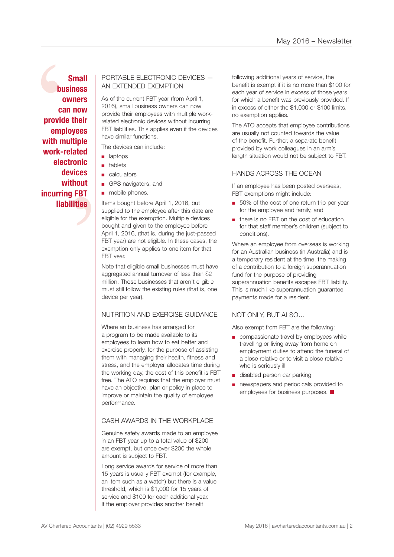bus<br>
ov<br>
car<br>
provide<br>
emple<br>
with mu<br>
work-re<br>
elect ated<br>onic<br>ices<br>nout<br>FBT<br>ties **Small business owners can now provide their employees with multiple work-related electronic devices without incurring FBT liabilities**

### PORTABLE ELECTRONIC DEVICES — AN EXTENDED EXEMPTION

As of the current FBT year (from April 1, 2016), small business owners can now provide their employees with multiple workrelated electronic devices without incurring FBT liabilities. This applies even if the devices have similar functions.

The devices can include:

- laptops
- tablets
- calculators
- GPS navigators, and
- mobile phones.

Items bought before April 1, 2016, but supplied to the employee after this date are eligible for the exemption. Multiple devices bought and given to the employee before April 1, 2016, (that is, during the just-passed FBT year) are not eligible. In these cases, the exemption only applies to one item for that FBT year.

Note that eligible small businesses must have aggregated annual turnover of less than \$2 million. Those businesses that aren't eligible must still follow the existing rules (that is, one device per year).

### NUTRITION AND EXERCISE GUIDANCE

Where an business has arranged for a program to be made available to its employees to learn how to eat better and exercise properly, for the purpose of assisting them with managing their health, fitness and stress, and the employer allocates time during the working day, the cost of this benefit is FBT free. The ATO requires that the employer must have an objective, plan or policy in place to improve or maintain the quality of employee performance.

### CASH AWARDS IN THE WORKPLACE

Genuine safety awards made to an employee in an FBT year up to a total value of \$200 are exempt, but once over \$200 the whole amount is subject to FBT.

Long service awards for service of more than 15 years is usually FBT exempt (for example, an item such as a watch) but there is a value threshold, which is \$1,000 for 15 years of service and \$100 for each additional year. If the employer provides another benefit

following additional years of service, the benefit is exempt if it is no more than \$100 for each year of service in excess of those years for which a benefit was previously provided. If in excess of either the \$1,000 or \$100 limits, no exemption applies.

The ATO accepts that employee contributions are usually not counted towards the value of the benefit. Further, a separate benefit provided by work colleagues in an arm's length situation would not be subject to FBT.

### HANDS ACROSS THE OCEAN

If an employee has been posted overseas, FBT exemptions might include:

- 50% of the cost of one return trip per year for the employee and family, and
- there is no FBT on the cost of education for that staff member's children (subject to conditions).

Where an employee from overseas is working for an Australian business (in Australia) and is a temporary resident at the time, the making of a contribution to a foreign superannuation fund for the purpose of providing superannuation benefits escapes FBT liability. This is much like superannuation guarantee payments made for a resident.

### NOT ONLY, BUT ALSO…

Also exempt from FBT are the following:

- compassionate travel by employees while travelling or living away from home on employment duties to attend the funeral of a close relative or to visit a close relative who is seriously ill
- disabled person car parking
- newspapers and periodicals provided to employees for business purposes.  $\blacksquare$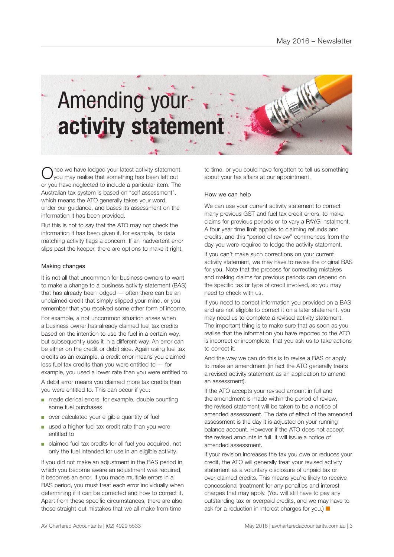

nce we have lodged your latest activity statement, you may realise that something has been left out or you have neglected to include a particular item. The Australian tax system is based on "self assessment", which means the ATO generally takes your word, under our guidance, and bases its assessment on the information it has been provided.

But this is not to say that the ATO may not check the information it has been given if, for example, its data matching activity flags a concern. If an inadvertent error slips past the keeper, there are options to make it right.

### Making changes

It is not all that uncommon for business owners to want to make a change to a business activity statement (BAS) that has already been lodged — often there can be an unclaimed credit that simply slipped your mind, or you remember that you received some other form of income.

For example, a not uncommon situation arises when a business owner has already claimed fuel tax credits based on the intention to use the fuel in a certain way, but subsequently uses it in a different way. An error can be either on the credit or debit side. Again using fuel tax credits as an example, a credit error means you claimed less fuel tax credits than you were entitled to  $-$  for example, you used a lower rate than you were entitled to. A debit error means you claimed more tax credits than you were entitled to. This can occur if you:

- made clerical errors, for example, double counting some fuel purchases
- over calculated your eligible quantity of fuel
- used a higher fuel tax credit rate than you were entitled to
- claimed fuel tax credits for all fuel you acquired, not only the fuel intended for use in an eligible activity.

If you did not make an adjustment in the BAS period in which you become aware an adjustment was required. it becomes an error. If you made multiple errors in a BAS period, you must treat each error individually when determining if it can be corrected and how to correct it. Apart from these specific circumstances, there are also those straight-out mistakes that we all make from time

to time, or you could have forgotten to tell us something about your tax affairs at our appointment.

#### How we can help

We can use your current activity statement to correct many previous GST and fuel tax credit errors, to make claims for previous periods or to vary a PAYG instalment. A four year time limit applies to claiming refunds and credits, and this "period of review" commences from the day you were required to lodge the activity statement.

If you can't make such corrections on your current activity statement, we may have to revise the original BAS for you. Note that the process for correcting mistakes and making claims for previous periods can depend on the specific tax or type of credit involved, so you may need to check with us.

If you need to correct information you provided on a BAS and are not eligible to correct it on a later statement, you may need us to complete a revised activity statement. The important thing is to make sure that as soon as you realise that the information you have reported to the ATO is incorrect or incomplete, that you ask us to take actions to correct it.

And the way we can do this is to revise a BAS or apply to make an amendment (in fact the ATO generally treats a revised activity statement as an application to amend an assessment).

If the ATO accepts your revised amount in full and the amendment is made within the period of review, the revised statement will be taken to be a notice of amended assessment. The date of effect of the amended assessment is the day it is adjusted on your running balance account. However if the ATO does not accept the revised amounts in full, it will issue a notice of amended assessment.

If your revision increases the tax you owe or reduces your credit, the ATO will generally treat your revised activity statement as a voluntary disclosure of unpaid tax or over-claimed credits. This means you're likely to receive concessional treatment for any penalties and interest charges that may apply. (You will still have to pay any outstanding tax or overpaid credits, and we may have to ask for a reduction in interest charges for you.)  $\blacksquare$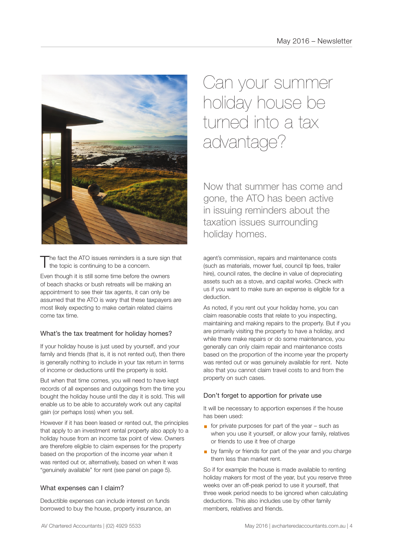

The fact the ATO issues reminders is a sure sign that  $\mathbf I$  the topic is continuing to be a concern.

Even though it is still some time before the owners of beach shacks or bush retreats will be making an appointment to see their tax agents, it can only be assumed that the ATO is wary that these taxpayers are most likely expecting to make certain related claims come tax time.

### What's the tax treatment for holiday homes?

If your holiday house is just used by yourself, and your family and friends (that is, it is not rented out), then there is generally nothing to include in your tax return in terms of income or deductions until the property is sold.

But when that time comes, you will need to have kept records of all expenses and outgoings from the time you bought the holiday house until the day it is sold. This will enable us to be able to accurately work out any capital gain (or perhaps loss) when you sell.

However if it has been leased or rented out, the principles that apply to an investment rental property also apply to a holiday house from an income tax point of view. Owners are therefore eligible to claim expenses for the property based on the proportion of the income year when it was rented out or, alternatively, based on when it was "genuinely available" for rent (see panel on page 5).

### What expenses can I claim?

Deductible expenses can include interest on funds borrowed to buy the house, property insurance, an

Can your summer holiday house be turned into a tax advantage?

Now that summer has come and gone, the ATO has been active in issuing reminders about the taxation issues surrounding holiday homes.

agent's commission, repairs and maintenance costs (such as materials, mower fuel, council tip fees, trailer hire), council rates, the decline in value of depreciating assets such as a stove, and capital works. Check with us if you want to make sure an expense is eligible for a deduction.

As noted, if you rent out your holiday home, you can claim reasonable costs that relate to you inspecting, maintaining and making repairs to the property. But if you are primarily visiting the property to have a holiday, and while there make repairs or do some maintenance, you generally can only claim repair and maintenance costs based on the proportion of the income year the property was rented out or was genuinely available for rent. Note also that you cannot claim travel costs to and from the property on such cases.

### Don't forget to apportion for private use

It will be necessary to apportion expenses if the house has been used:

- $\blacksquare$  for private purposes for part of the year such as when you use it yourself, or allow your family, relatives or friends to use it free of charge
- **by family or friends for part of the year and you charge** them less than market rent.

So if for example the house is made available to renting holiday makers for most of the year, but you reserve three weeks over an off-peak period to use it yourself, that three week period needs to be ignored when calculating deductions. This also includes use by other family members, relatives and friends.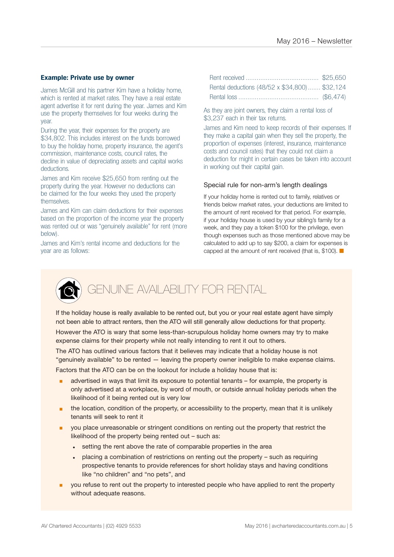### **Example: Private use by owner**

James McGill and his partner Kim have a holiday home, which is rented at market rates. They have a real estate agent advertise it for rent during the year. James and Kim use the property themselves for four weeks during the year.

During the year, their expenses for the property are \$34,802. This includes interest on the funds borrowed to buy the holiday home, property insurance, the agent's commission, maintenance costs, council rates, the decline in value of depreciating assets and capital works deductions.

James and Kim receive \$25,650 from renting out the property during the year. However no deductions can be claimed for the four weeks they used the property themselves.

James and Kim can claim deductions for their expenses based on the proportion of the income year the property was rented out or was "genuinely available" for rent (more below).

James and Kim's rental income and deductions for the year are as follows:

| Rental deductions (48/52 x \$34,800) \$32,124 |  |
|-----------------------------------------------|--|
|                                               |  |

As they are joint owners, they claim a rental loss of \$3,237 each in their tax returns.

James and Kim need to keep records of their expenses. If they make a capital gain when they sell the property, the proportion of expenses (interest, insurance, maintenance costs and council rates) that they could not claim a deduction for might in certain cases be taken into account in working out their capital gain.

### Special rule for non-arm's length dealings

If your holiday home is rented out to family, relatives or friends below market rates, your deductions are limited to the amount of rent received for that period. For example, if your holiday house is used by your sibling's family for a week, and they pay a token \$100 for the privilege, even though expenses such as those mentioned above may be calculated to add up to say \$200, a claim for expenses is capped at the amount of rent received (that is, \$100).  $\blacksquare$ 



### GENUINE AVAILABILITY FOR RENTAL

If the holiday house is really available to be rented out, but you or your real estate agent have simply not been able to attract renters, then the ATO will still generally allow deductions for that property.

However the ATO is wary that some less-than-scrupulous holiday home owners may try to make expense claims for their property while not really intending to rent it out to others.

The ATO has outlined various factors that it believes may indicate that a holiday house is not "genuinely available" to be rented — leaving the property owner ineligible to make expense claims. Factors that the ATO can be on the lookout for include a holiday house that is:

- advertised in ways that limit its exposure to potential tenants for example, the property is only advertised at a workplace, by word of mouth, or outside annual holiday periods when the likelihood of it being rented out is very low
- the location, condition of the property, or accessibility to the property, mean that it is unlikely tenants will seek to rent it
- **•** you place unreasonable or stringent conditions on renting out the property that restrict the likelihood of the property being rented out – such as:
	- setting the rent above the rate of comparable properties in the area
	- placing a combination of restrictions on renting out the property such as requiring prospective tenants to provide references for short holiday stays and having conditions like "no children" and "no pets", and
- **•** you refuse to rent out the property to interested people who have applied to rent the property without adequate reasons.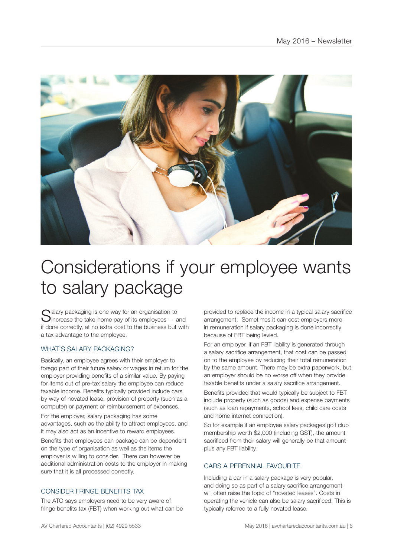

### Considerations if your employee wants to salary package

 $\bigcap$  alary packaging is one way for an organisation to **J**increase the take-home pay of its employees  $-$  and if done correctly, at no extra cost to the business but with a tax advantage to the employee.

### WHAT'S SALARY PACKAGING?

Basically, an employee agrees with their employer to forego part of their future salary or wages in return for the employer providing benefits of a similar value. By paying for items out of pre-tax salary the employee can reduce taxable income. Benefits typically provided include cars by way of novated lease, provision of property (such as a computer) or payment or reimbursement of expenses.

For the employer, salary packaging has some advantages, such as the ability to attract employees, and it may also act as an incentive to reward employees.

Benefits that employees can package can be dependent on the type of organisation as well as the items the employer is willing to consider. There can however be additional administration costs to the employer in making sure that it is all processed correctly.

### CONSIDER FRINGE BENEFITS TAX

The ATO says employers need to be very aware of fringe benefits tax (FBT) when working out what can be provided to replace the income in a typical salary sacrifice arrangement. Sometimes it can cost employers more in remuneration if salary packaging is done incorrectly because of FBT being levied.

For an employer, if an FBT liability is generated through a salary sacrifice arrangement, that cost can be passed on to the employee by reducing their total remuneration by the same amount. There may be extra paperwork, but an employer should be no worse off when they provide taxable benefits under a salary sacrifice arrangement.

Benefits provided that would typically be subject to FBT include property (such as goods) and expense payments (such as loan repayments, school fees, child care costs and home internet connection).

So for example if an employee salary packages golf club membership worth \$2,000 (including GST), the amount sacrificed from their salary will generally be that amount plus any FBT liability.

### CARS A PERENNIAL FAVOURITE

Including a car in a salary package is very popular, and doing so as part of a salary sacrifice arrangement will often raise the topic of "novated leases". Costs in operating the vehicle can also be salary sacrificed. This is typically referred to a fully novated lease.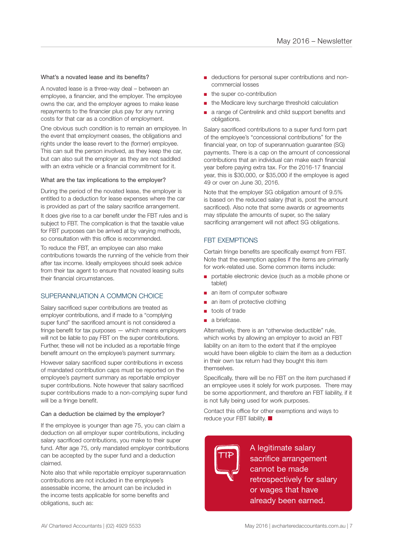### What's a novated lease and its benefits?

A novated lease is a three-way deal – between an employee, a financier, and the employer. The employee owns the car, and the employer agrees to make lease repayments to the financier plus pay for any running costs for that car as a condition of employment.

One obvious such condition is to remain an employee. In the event that employment ceases, the obligations and rights under the lease revert to the (former) employee. This can suit the person involved, as they keep the car, but can also suit the employer as they are not saddled with an extra vehicle or a financial commitment for it.

### What are the tax implications to the employer?

During the period of the novated lease, the employer is entitled to a deduction for lease expenses where the car is provided as part of the salary sacrifice arrangement.

It does give rise to a car benefit under the FBT rules and is subject to FBT. The complication is that the taxable value for FBT purposes can be arrived at by varying methods, so consultation with this office is recommended.

To reduce the FBT, an employee can also make contributions towards the running of the vehicle from their after tax income. Ideally employees should seek advice from their tax agent to ensure that novated leasing suits their financial circumstances.

### SUPERANNUATION A COMMON CHOICE

Salary sacrificed super contributions are treated as employer contributions, and if made to a "complying super fund" the sacrificed amount is not considered a fringe benefit for tax purposes — which means employers will not be liable to pay FBT on the super contributions. Further, these will not be included as a reportable fringe benefit amount on the employee's payment summary.

However salary sacrificed super contributions in excess of mandated contribution caps must be reported on the employee's payment summary as reportable employer super contributions. Note however that salary sacrificed super contributions made to a non-complying super fund will be a fringe benefit.

### Can a deduction be claimed by the employer?

If the employee is younger than age 75, you can claim a deduction on all employer super contributions, including salary sacrificed contributions, you make to their super fund. After age 75, only mandated employer contributions can be accepted by the super fund and a deduction claimed.

Note also that while reportable employer superannuation contributions are not included in the employee's assessable income, the amount can be included in the income tests applicable for some benefits and obligations, such as:

- deductions for personal super contributions and noncommercial losses
- the super co-contribution
- the Medicare levy surcharge threshold calculation
- a range of Centrelink and child support benefits and obligations.

Salary sacrificed contributions to a super fund form part of the employee's "concessional contributions" for the financial year, on top of superannuation guarantee (SG) payments. There is a cap on the amount of concessional contributions that an individual can make each financial year before paying extra tax. For the 2016-17 financial year, this is \$30,000, or \$35,000 if the employee is aged 49 or over on June 30, 2016.

Note that the employer SG obligation amount of 9.5% is based on the reduced salary (that is, post the amount sacrificed). Also note that some awards or agreements may stipulate the amounts of super, so the salary sacrificing arrangement will not affect SG obligations.

### FBT EXEMPTIONS

Certain fringe benefits are specifically exempt from FBT. Note that the exemption applies if the items are primarily for work-related use. Some common items include:

- portable electronic device (such as a mobile phone or tablet)
- an item of computer software
- an item of protective clothing
- tools of trade
- a briefcase.

Alternatively, there is an "otherwise deductible" rule, which works by allowing an employer to avoid an FBT liability on an item to the extent that if the employee would have been eligible to claim the item as a deduction in their own tax return had they bought this item themselves

Specifically, there will be no FBT on the item purchased if an employee uses it solely for work purposes. There may be some apportionment, and therefore an FBT liability, if it is not fully being used for work purposes.

Contact this office for other exemptions and ways to reduce your FBT liability.  $\blacksquare$ 

**TIP** A legitimate salary sacrifice arrangement cannot be made retrospectively for salary or wages that have already been earned.